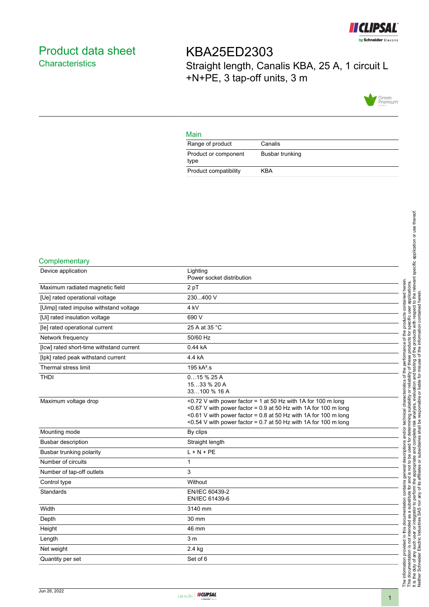

# <span id="page-0-0"></span>Product data sheet **Characteristics**

KBA25ED2303 Straight length, Canalis KBA, 25 A, 1 circuit L +N+PE, 3 tap-off units, 3 m



### Main

| Range of product             | Canalis         |
|------------------------------|-----------------|
| Product or component<br>type | Busbar trunking |
| Product compatibility        | KBA             |

#### **Complementary**

| Device application                       | Lighting<br>Power socket distribution                                                                                                                                                                                                                                    |
|------------------------------------------|--------------------------------------------------------------------------------------------------------------------------------------------------------------------------------------------------------------------------------------------------------------------------|
| Maximum radiated magnetic field          | 2 pT                                                                                                                                                                                                                                                                     |
| [Ue] rated operational voltage           | 230400 V                                                                                                                                                                                                                                                                 |
| [Uimp] rated impulse withstand voltage   | 4 <sub>kV</sub>                                                                                                                                                                                                                                                          |
| [Ui] rated insulation voltage            | 690 V                                                                                                                                                                                                                                                                    |
| [le] rated operational current           | 25 A at 35 °C                                                                                                                                                                                                                                                            |
| Network frequency                        | 50/60 Hz                                                                                                                                                                                                                                                                 |
| [lcw] rated short-time withstand current | 0.44 kA                                                                                                                                                                                                                                                                  |
| [lpk] rated peak withstand current       | 4.4 kA                                                                                                                                                                                                                                                                   |
| Thermal stress limit                     | 195 kA <sup>2</sup> .s                                                                                                                                                                                                                                                   |
| <b>THDI</b>                              | 015%25A<br>1533 % 20 A<br>33100 % 16 A                                                                                                                                                                                                                                   |
| Maximum voltage drop                     | <0.72 V with power factor = 1 at 50 Hz with 1A for 100 m long<br><0.67 V with power factor = $0.9$ at 50 Hz with 1A for 100 m long<br><0.61 V with power factor = 0.8 at 50 Hz with 1A for 100 m long<br><0.54 V with power factor = 0.7 at 50 Hz with 1A for 100 m long |
| Mounting mode                            | By clips                                                                                                                                                                                                                                                                 |
| <b>Busbar description</b>                | Straight length                                                                                                                                                                                                                                                          |
| Busbar trunking polarity                 | $L + N + PE$                                                                                                                                                                                                                                                             |
| Number of circuits                       | 1                                                                                                                                                                                                                                                                        |
| Number of tap-off outlets                | 3                                                                                                                                                                                                                                                                        |
| Control type                             | Without                                                                                                                                                                                                                                                                  |
| Standards                                | EN/IEC 60439-2<br>EN/IEC 61439-6                                                                                                                                                                                                                                         |
| Width                                    | 3140 mm                                                                                                                                                                                                                                                                  |
| Depth                                    | 30 mm                                                                                                                                                                                                                                                                    |
| Height                                   | 46 mm                                                                                                                                                                                                                                                                    |
| Length                                   | 3 <sub>m</sub>                                                                                                                                                                                                                                                           |
| Net weight                               | $2.4$ kg                                                                                                                                                                                                                                                                 |
| Quantity per set                         | Set of 6                                                                                                                                                                                                                                                                 |